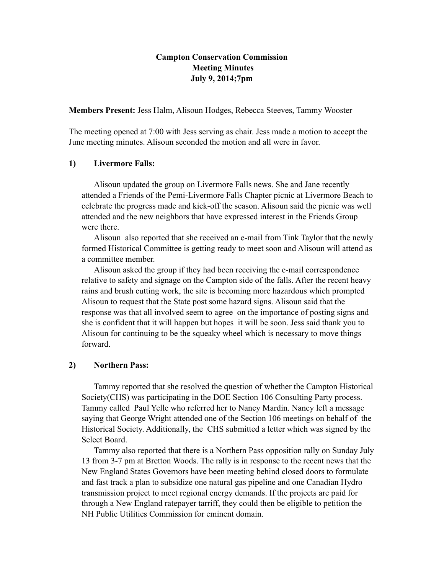## **Campton Conservation Commission Meeting Minutes July 9, 2014;7pm**

**Members Present:** Jess Halm, Alisoun Hodges, Rebecca Steeves, Tammy Wooster

The meeting opened at 7:00 with Jess serving as chair. Jess made a motion to accept the June meeting minutes. Alisoun seconded the motion and all were in favor.

### **1) Livermore Falls:**

Alisoun updated the group on Livermore Falls news. She and Jane recently attended a Friends of the Pemi-Livermore Falls Chapter picnic at Livermore Beach to celebrate the progress made and kick-off the season. Alisoun said the picnic was well attended and the new neighbors that have expressed interest in the Friends Group were there.

Alisoun also reported that she received an e-mail from Tink Taylor that the newly formed Historical Committee is getting ready to meet soon and Alisoun will attend as a committee member.

Alisoun asked the group if they had been receiving the e-mail correspondence relative to safety and signage on the Campton side of the falls. After the recent heavy rains and brush cutting work, the site is becoming more hazardous which prompted Alisoun to request that the State post some hazard signs. Alisoun said that the response was that all involved seem to agree on the importance of posting signs and she is confident that it will happen but hopes it will be soon. Jess said thank you to Alisoun for continuing to be the squeaky wheel which is necessary to move things forward.

### **2) Northern Pass:**

Tammy reported that she resolved the question of whether the Campton Historical Society(CHS) was participating in the DOE Section 106 Consulting Party process. Tammy called Paul Yelle who referred her to Nancy Mardin. Nancy left a message saying that George Wright attended one of the Section 106 meetings on behalf of the Historical Society. Additionally, the CHS submitted a letter which was signed by the Select Board.

Tammy also reported that there is a Northern Pass opposition rally on Sunday July 13 from 3-7 pm at Bretton Woods. The rally is in response to the recent news that the New England States Governors have been meeting behind closed doors to formulate and fast track a plan to subsidize one natural gas pipeline and one Canadian Hydro transmission project to meet regional energy demands. If the projects are paid for through a New England ratepayer tarriff, they could then be eligible to petition the NH Public Utilities Commission for eminent domain.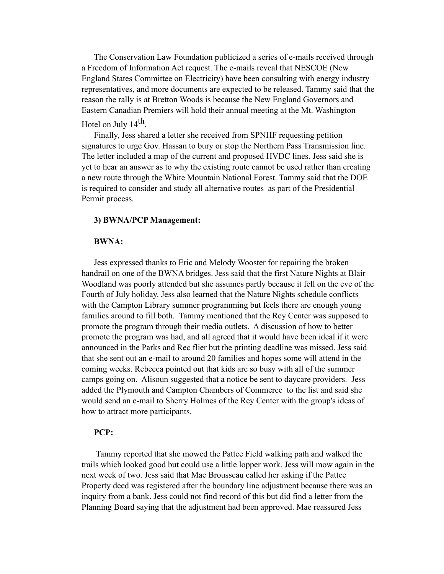The Conservation Law Foundation publicized a series of e-mails received through a Freedom of Information Act request. The e-mails reveal that NESCOE (New England States Committee on Electricity) have been consulting with energy industry representatives, and more documents are expected to be released. Tammy said that the reason the rally is at Bretton Woods is because the New England Governors and Eastern Canadian Premiers will hold their annual meeting at the Mt. Washington Hotel on July  $14<sup>th</sup>$ .

Finally, Jess shared a letter she received from SPNHF requesting petition signatures to urge Gov. Hassan to bury or stop the Northern Pass Transmission line. The letter included a map of the current and proposed HVDC lines. Jess said she is yet to hear an answer as to why the existing route cannot be used rather than creating a new route through the White Mountain National Forest. Tammy said that the DOE is required to consider and study all alternative routes as part of the Presidential Permit process.

#### **3) BWNA/PCP Management:**

#### **BWNA:**

Jess expressed thanks to Eric and Melody Wooster for repairing the broken handrail on one of the BWNA bridges. Jess said that the first Nature Nights at Blair Woodland was poorly attended but she assumes partly because it fell on the eve of the Fourth of July holiday. Jess also learned that the Nature Nights schedule conflicts with the Campton Library summer programming but feels there are enough young families around to fill both. Tammy mentioned that the Rey Center was supposed to promote the program through their media outlets. A discussion of how to better promote the program was had, and all agreed that it would have been ideal if it were announced in the Parks and Rec flier but the printing deadline was missed. Jess said that she sent out an e-mail to around 20 families and hopes some will attend in the coming weeks. Rebecca pointed out that kids are so busy with all of the summer camps going on. Alisoun suggested that a notice be sent to daycare providers. Jess added the Plymouth and Campton Chambers of Commerce to the list and said she would send an e-mail to Sherry Holmes of the Rey Center with the group's ideas of how to attract more participants.

#### **PCP:**

 Tammy reported that she mowed the Pattee Field walking path and walked the trails which looked good but could use a little lopper work. Jess will mow again in the next week of two. Jess said that Mae Brousseau called her asking if the Pattee Property deed was registered after the boundary line adjustment because there was an inquiry from a bank. Jess could not find record of this but did find a letter from the Planning Board saying that the adjustment had been approved. Mae reassured Jess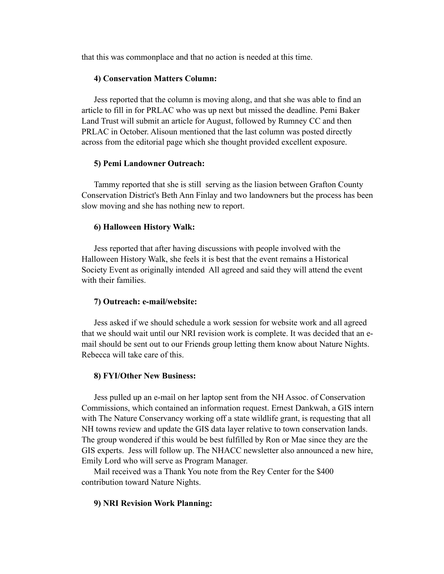that this was commonplace and that no action is needed at this time.

#### **4) Conservation Matters Column:**

Jess reported that the column is moving along, and that she was able to find an article to fill in for PRLAC who was up next but missed the deadline. Pemi Baker Land Trust will submit an article for August, followed by Rumney CC and then PRLAC in October. Alisoun mentioned that the last column was posted directly across from the editorial page which she thought provided excellent exposure.

#### **5) Pemi Landowner Outreach:**

Tammy reported that she is still serving as the liasion between Grafton County Conservation District's Beth Ann Finlay and two landowners but the process has been slow moving and she has nothing new to report.

#### **6) Halloween History Walk:**

Jess reported that after having discussions with people involved with the Halloween History Walk, she feels it is best that the event remains a Historical Society Event as originally intended All agreed and said they will attend the event with their families.

#### **7) Outreach: e-mail/website:**

Jess asked if we should schedule a work session for website work and all agreed that we should wait until our NRI revision work is complete. It was decided that an email should be sent out to our Friends group letting them know about Nature Nights. Rebecca will take care of this.

#### **8) FYI/Other New Business:**

Jess pulled up an e-mail on her laptop sent from the NH Assoc. of Conservation Commissions, which contained an information request. Ernest Dankwah, a GIS intern with The Nature Conservancy working off a state wildlife grant, is requesting that all NH towns review and update the GIS data layer relative to town conservation lands. The group wondered if this would be best fulfilled by Ron or Mae since they are the GIS experts. Jess will follow up. The NHACC newsletter also announced a new hire, Emily Lord who will serve as Program Manager.

Mail received was a Thank You note from the Rey Center for the \$400 contribution toward Nature Nights.

#### **9) NRI Revision Work Planning:**